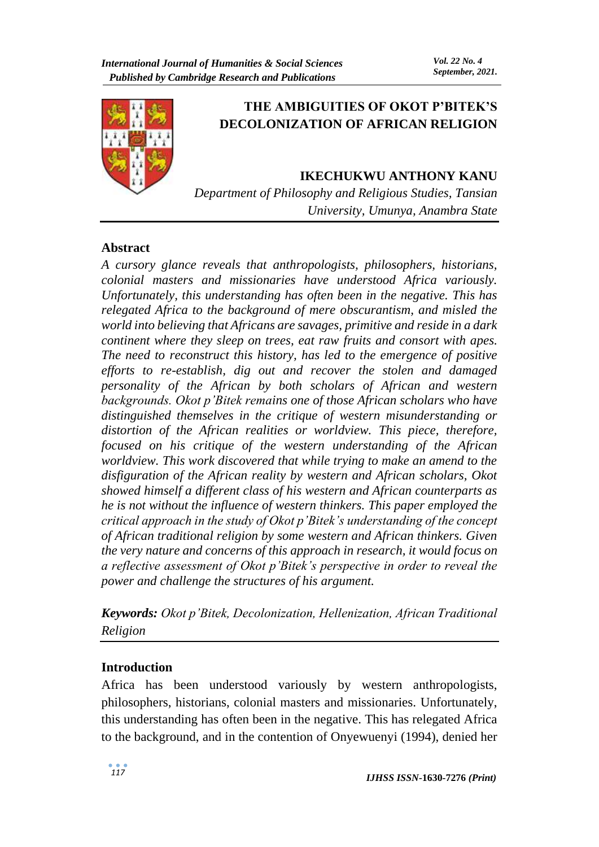

# **THE AMBIGUITIES OF OKOT P'BITEK'S DECOLONIZATION OF AFRICAN RELIGION**

### **IKECHUKWU ANTHONY KANU**

*Department of Philosophy and Religious Studies, Tansian University, Umunya, Anambra State*

### **Abstract**

*A cursory glance reveals that anthropologists, philosophers, historians, colonial masters and missionaries have understood Africa variously. Unfortunately, this understanding has often been in the negative. This has relegated Africa to the background of mere obscurantism, and misled the world into believing that Africans are savages, primitive and reside in a dark continent where they sleep on trees, eat raw fruits and consort with apes. The need to reconstruct this history, has led to the emergence of positive efforts to re-establish, dig out and recover the stolen and damaged personality of the African by both scholars of African and western backgrounds. Okot p'Bitek remains one of those African scholars who have distinguished themselves in the critique of western misunderstanding or distortion of the African realities or worldview. This piece, therefore, focused on his critique of the western understanding of the African worldview. This work discovered that while trying to make an amend to the disfiguration of the African reality by western and African scholars, Okot showed himself a different class of his western and African counterparts as he is not without the influence of western thinkers. This paper employed the critical approach in the study of Okot p'Bitek's understanding of the concept of African traditional religion by some western and African thinkers. Given the very nature and concerns of this approach in research, it would focus on a reflective assessment of Okot p'Bitek's perspective in order to reveal the power and challenge the structures of his argument.* 

*Keywords: Okot p'Bitek, Decolonization, Hellenization, African Traditional Religion*

### **Introduction**

Africa has been understood variously by western anthropologists, philosophers, historians, colonial masters and missionaries. Unfortunately, this understanding has often been in the negative. This has relegated Africa to the background, and in the contention of Onyewuenyi (1994), denied her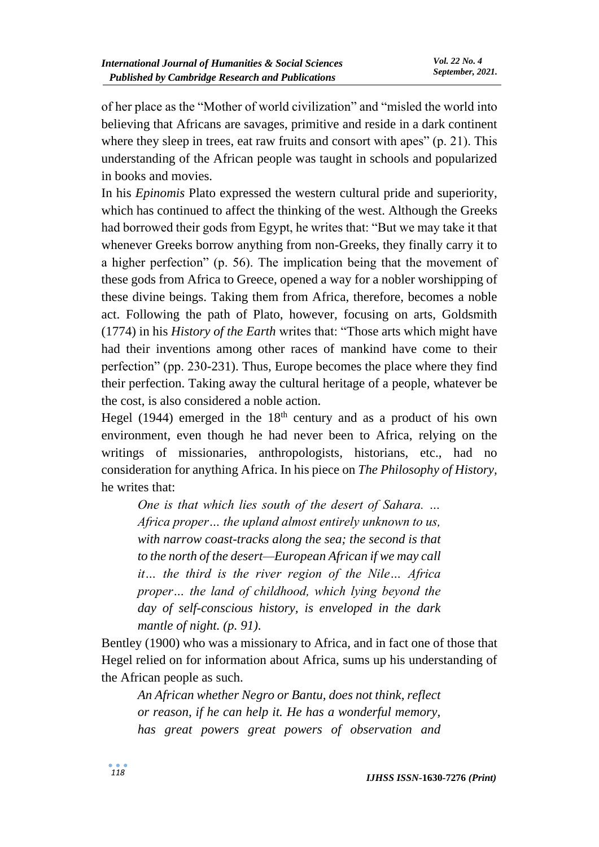of her place as the "Mother of world civilization" and "misled the world into believing that Africans are savages, primitive and reside in a dark continent where they sleep in trees, eat raw fruits and consort with apes" (p. 21). This understanding of the African people was taught in schools and popularized in books and movies.

In his *Epinomis* Plato expressed the western cultural pride and superiority, which has continued to affect the thinking of the west. Although the Greeks had borrowed their gods from Egypt, he writes that: "But we may take it that whenever Greeks borrow anything from non-Greeks, they finally carry it to a higher perfection" (p. 56). The implication being that the movement of these gods from Africa to Greece, opened a way for a nobler worshipping of these divine beings. Taking them from Africa, therefore, becomes a noble act. Following the path of Plato, however, focusing on arts, Goldsmith (1774) in his *History of the Earth* writes that: "Those arts which might have had their inventions among other races of mankind have come to their perfection" (pp. 230-231). Thus, Europe becomes the place where they find their perfection. Taking away the cultural heritage of a people, whatever be the cost, is also considered a noble action.

Hegel (1944) emerged in the  $18<sup>th</sup>$  century and as a product of his own environment, even though he had never been to Africa, relying on the writings of missionaries, anthropologists, historians, etc., had no consideration for anything Africa. In his piece on *The Philosophy of History,*  he writes that:

*One is that which lies south of the desert of Sahara. … Africa proper… the upland almost entirely unknown to us, with narrow coast-tracks along the sea; the second is that to the north of the desert—European African if we may call it… the third is the river region of the Nile… Africa proper… the land of childhood, which lying beyond the day of self-conscious history, is enveloped in the dark mantle of night. (p. 91).* 

Bentley (1900) who was a missionary to Africa, and in fact one of those that Hegel relied on for information about Africa, sums up his understanding of the African people as such.

*An African whether Negro or Bantu, does not think, reflect or reason, if he can help it. He has a wonderful memory, has great powers great powers of observation and*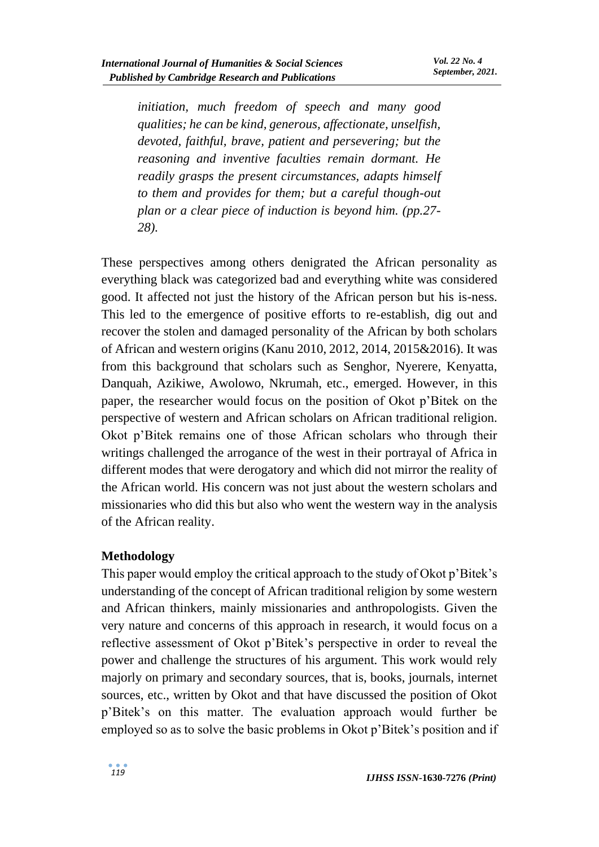*initiation, much freedom of speech and many good qualities; he can be kind, generous, affectionate, unselfish, devoted, faithful, brave, patient and persevering; but the reasoning and inventive faculties remain dormant. He readily grasps the present circumstances, adapts himself to them and provides for them; but a careful though-out plan or a clear piece of induction is beyond him. (pp.27- 28).*

These perspectives among others denigrated the African personality as everything black was categorized bad and everything white was considered good. It affected not just the history of the African person but his is-ness. This led to the emergence of positive efforts to re-establish, dig out and recover the stolen and damaged personality of the African by both scholars of African and western origins (Kanu 2010, 2012, 2014, 2015&2016). It was from this background that scholars such as Senghor, Nyerere, Kenyatta, Danquah, Azikiwe, Awolowo, Nkrumah, etc., emerged. However, in this paper, the researcher would focus on the position of Okot p'Bitek on the perspective of western and African scholars on African traditional religion. Okot p'Bitek remains one of those African scholars who through their writings challenged the arrogance of the west in their portrayal of Africa in different modes that were derogatory and which did not mirror the reality of the African world. His concern was not just about the western scholars and missionaries who did this but also who went the western way in the analysis of the African reality.

### **Methodology**

This paper would employ the critical approach to the study of Okot p'Bitek's understanding of the concept of African traditional religion by some western and African thinkers, mainly missionaries and anthropologists. Given the very nature and concerns of this approach in research, it would focus on a reflective assessment of Okot p'Bitek's perspective in order to reveal the power and challenge the structures of his argument. This work would rely majorly on primary and secondary sources, that is, books, journals, internet sources, etc., written by Okot and that have discussed the position of Okot p'Bitek's on this matter. The evaluation approach would further be employed so as to solve the basic problems in Okot p'Bitek's position and if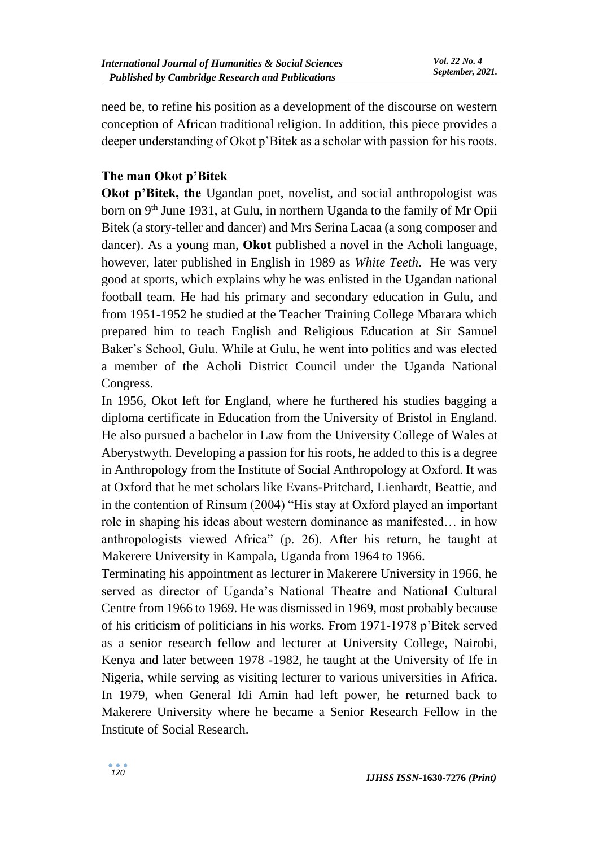need be, to refine his position as a development of the discourse on western conception of African traditional religion. In addition, this piece provides a deeper understanding of Okot p'Bitek as a scholar with passion for his roots.

## **The man Okot p'Bitek**

**Okot p'Bitek, the Ugandan poet, novelist, and social anthropologist was** born on 9<sup>th</sup> June 1931, at Gulu, in northern Uganda to the family of Mr Opii Bitek (a story-teller and dancer) and Mrs Serina Lacaa (a song composer and dancer). As a young man, **Okot** published a novel in the Acholi language, however, later published in English in 1989 as *White Teeth*. He was very good at sports, which explains why he was enlisted in the Ugandan national football team. He had his primary and secondary education in Gulu, and from 1951-1952 he studied at the Teacher Training College Mbarara which prepared him to teach English and Religious Education at Sir Samuel Baker's School, Gulu. While at Gulu, he went into politics and was elected a member of the Acholi District Council under the Uganda National Congress.

In 1956, Okot left for England, where he furthered his studies bagging a diploma certificate in Education from the University of Bristol in England. He also pursued a bachelor in Law from the University College of Wales at Aberystwyth. Developing a passion for his roots, he added to this is a degree in Anthropology from the Institute of Social Anthropology at Oxford. It was at Oxford that he met scholars like Evans-Pritchard, Lienhardt, Beattie, and in the contention of Rinsum (2004) "His stay at Oxford played an important role in shaping his ideas about western dominance as manifested… in how anthropologists viewed Africa" (p. 26). After his return, he taught at Makerere University in Kampala, Uganda from 1964 to 1966.

Terminating his appointment as lecturer in Makerere University in 1966, he served as director of Uganda's National Theatre and National Cultural Centre from 1966 to 1969. He was dismissed in 1969, most probably because of his criticism of politicians in his works. From 1971-1978 p'Bitek served as a senior research fellow and lecturer at University College, Nairobi, Kenya and later between 1978 -1982, he taught at the University of Ife in Nigeria, while serving as visiting lecturer to various universities in Africa. In 1979, when General Idi Amin had left power, he returned back to Makerere University where he became a Senior Research Fellow in the Institute of Social Research.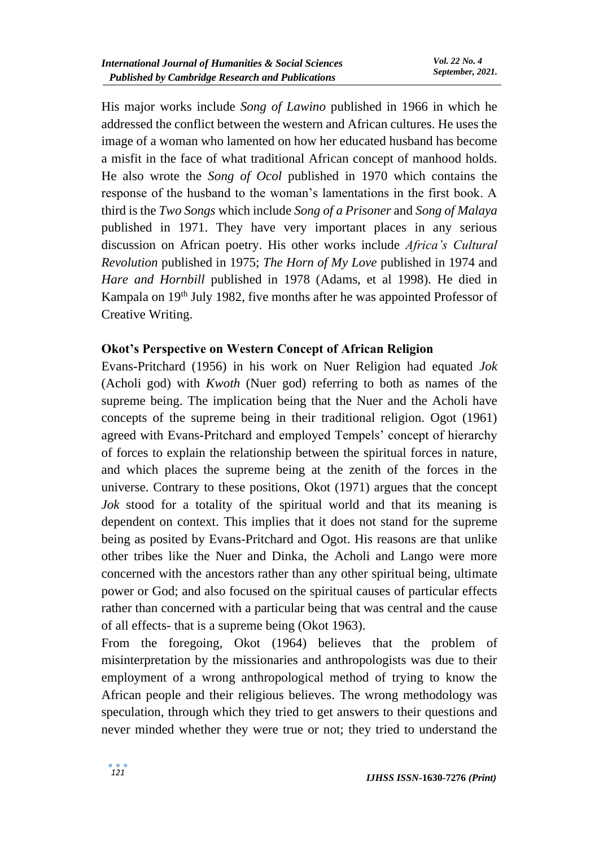His major works include *Song of Lawino* published in 1966 in which he addressed the conflict between the western and African cultures. He uses the image of a woman who lamented on how her educated husband has become a misfit in the face of what traditional African concept of manhood holds. He also wrote the *Song of Ocol* published in 1970 which contains the response of the husband to the woman's lamentations in the first book. A third is the *Two Songs* which include *Song of a Prisoner* and *Song of Malaya* published in 1971. They have very important places in any serious discussion on African poetry. His other works include *Africa's Cultural Revolution* published in 1975; *The Horn of My Love* published in 1974 and *Hare and Hornbill* published in 1978 (Adams, et al 1998). He died in Kampala on 19<sup>th</sup> July 1982, five months after he was appointed Professor of Creative Writing.

### **Okot's Perspective on Western Concept of African Religion**

Evans-Pritchard (1956) in his work on Nuer Religion had equated *Jok* (Acholi god) with *Kwoth* (Nuer god) referring to both as names of the supreme being. The implication being that the Nuer and the Acholi have concepts of the supreme being in their traditional religion. Ogot (1961) agreed with Evans-Pritchard and employed Tempels' concept of hierarchy of forces to explain the relationship between the spiritual forces in nature, and which places the supreme being at the zenith of the forces in the universe. Contrary to these positions, Okot (1971) argues that the concept *Jok* stood for a totality of the spiritual world and that its meaning is dependent on context. This implies that it does not stand for the supreme being as posited by Evans-Pritchard and Ogot. His reasons are that unlike other tribes like the Nuer and Dinka, the Acholi and Lango were more concerned with the ancestors rather than any other spiritual being, ultimate power or God; and also focused on the spiritual causes of particular effects rather than concerned with a particular being that was central and the cause of all effects- that is a supreme being (Okot 1963).

From the foregoing, Okot (1964) believes that the problem of misinterpretation by the missionaries and anthropologists was due to their employment of a wrong anthropological method of trying to know the African people and their religious believes. The wrong methodology was speculation, through which they tried to get answers to their questions and never minded whether they were true or not; they tried to understand the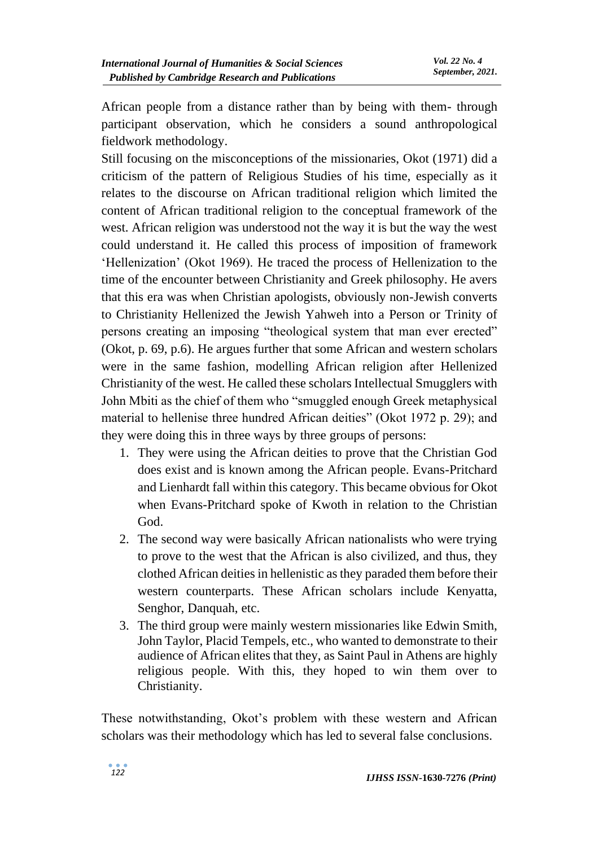African people from a distance rather than by being with them- through participant observation, which he considers a sound anthropological fieldwork methodology.

Still focusing on the misconceptions of the missionaries, Okot (1971) did a criticism of the pattern of Religious Studies of his time, especially as it relates to the discourse on African traditional religion which limited the content of African traditional religion to the conceptual framework of the west. African religion was understood not the way it is but the way the west could understand it. He called this process of imposition of framework 'Hellenization' (Okot 1969). He traced the process of Hellenization to the time of the encounter between Christianity and Greek philosophy. He avers that this era was when Christian apologists, obviously non-Jewish converts to Christianity Hellenized the Jewish Yahweh into a Person or Trinity of persons creating an imposing "theological system that man ever erected" (Okot, p. 69, p.6). He argues further that some African and western scholars were in the same fashion, modelling African religion after Hellenized Christianity of the west. He called these scholars Intellectual Smugglers with John Mbiti as the chief of them who "smuggled enough Greek metaphysical material to hellenise three hundred African deities" (Okot 1972 p. 29); and they were doing this in three ways by three groups of persons:

- 1. They were using the African deities to prove that the Christian God does exist and is known among the African people. Evans-Pritchard and Lienhardt fall within this category. This became obvious for Okot when Evans-Pritchard spoke of Kwoth in relation to the Christian God.
- 2. The second way were basically African nationalists who were trying to prove to the west that the African is also civilized, and thus, they clothed African deities in hellenistic as they paraded them before their western counterparts. These African scholars include Kenyatta, Senghor, Danquah, etc.
- 3. The third group were mainly western missionaries like Edwin Smith, John Taylor, Placid Tempels, etc., who wanted to demonstrate to their audience of African elites that they, as Saint Paul in Athens are highly religious people. With this, they hoped to win them over to Christianity.

These notwithstanding, Okot's problem with these western and African scholars was their methodology which has led to several false conclusions.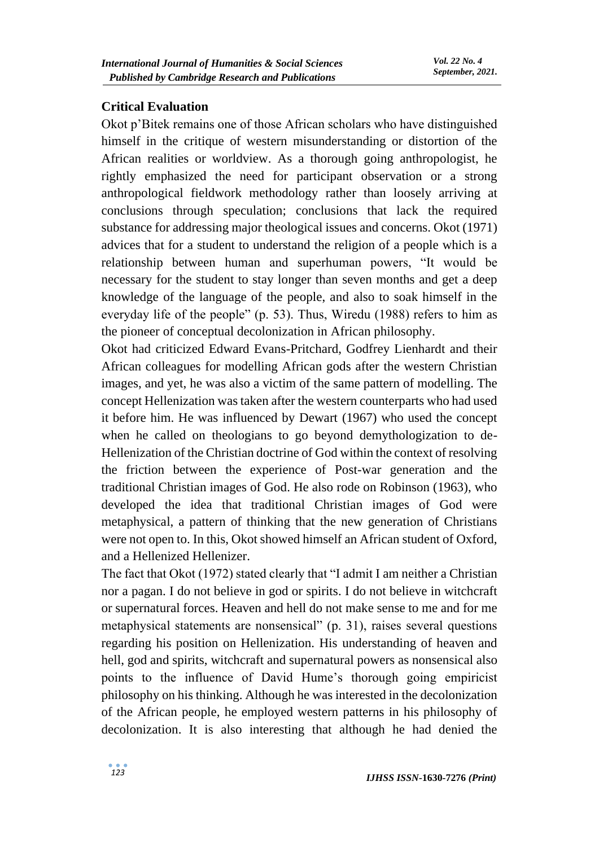### **Critical Evaluation**

Okot p'Bitek remains one of those African scholars who have distinguished himself in the critique of western misunderstanding or distortion of the African realities or worldview. As a thorough going anthropologist, he rightly emphasized the need for participant observation or a strong anthropological fieldwork methodology rather than loosely arriving at conclusions through speculation; conclusions that lack the required substance for addressing major theological issues and concerns. Okot (1971) advices that for a student to understand the religion of a people which is a relationship between human and superhuman powers, "It would be necessary for the student to stay longer than seven months and get a deep knowledge of the language of the people, and also to soak himself in the everyday life of the people" (p. 53). Thus, Wiredu (1988) refers to him as the pioneer of conceptual decolonization in African philosophy.

Okot had criticized Edward Evans-Pritchard, Godfrey Lienhardt and their African colleagues for modelling African gods after the western Christian images, and yet, he was also a victim of the same pattern of modelling. The concept Hellenization was taken after the western counterparts who had used it before him. He was influenced by Dewart (1967) who used the concept when he called on theologians to go beyond demythologization to de-Hellenization of the Christian doctrine of God within the context of resolving the friction between the experience of Post-war generation and the traditional Christian images of God. He also rode on Robinson (1963), who developed the idea that traditional Christian images of God were metaphysical, a pattern of thinking that the new generation of Christians were not open to. In this, Okot showed himself an African student of Oxford, and a Hellenized Hellenizer.

The fact that Okot (1972) stated clearly that "I admit I am neither a Christian nor a pagan. I do not believe in god or spirits. I do not believe in witchcraft or supernatural forces. Heaven and hell do not make sense to me and for me metaphysical statements are nonsensical" (p. 31), raises several questions regarding his position on Hellenization. His understanding of heaven and hell, god and spirits, witchcraft and supernatural powers as nonsensical also points to the influence of David Hume's thorough going empiricist philosophy on his thinking. Although he was interested in the decolonization of the African people, he employed western patterns in his philosophy of decolonization. It is also interesting that although he had denied the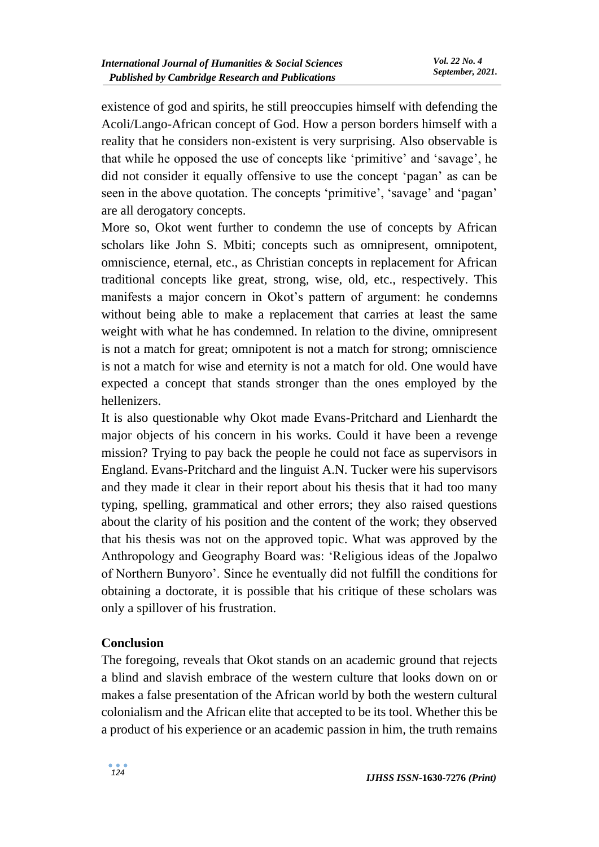existence of god and spirits, he still preoccupies himself with defending the Acoli/Lango-African concept of God. How a person borders himself with a reality that he considers non-existent is very surprising. Also observable is that while he opposed the use of concepts like 'primitive' and 'savage', he did not consider it equally offensive to use the concept 'pagan' as can be seen in the above quotation. The concepts 'primitive', 'savage' and 'pagan' are all derogatory concepts.

More so, Okot went further to condemn the use of concepts by African scholars like John S. Mbiti; concepts such as omnipresent, omnipotent, omniscience, eternal, etc., as Christian concepts in replacement for African traditional concepts like great, strong, wise, old, etc., respectively. This manifests a major concern in Okot's pattern of argument: he condemns without being able to make a replacement that carries at least the same weight with what he has condemned. In relation to the divine, omnipresent is not a match for great; omnipotent is not a match for strong; omniscience is not a match for wise and eternity is not a match for old. One would have expected a concept that stands stronger than the ones employed by the hellenizers.

It is also questionable why Okot made Evans-Pritchard and Lienhardt the major objects of his concern in his works. Could it have been a revenge mission? Trying to pay back the people he could not face as supervisors in England. Evans-Pritchard and the linguist A.N. Tucker were his supervisors and they made it clear in their report about his thesis that it had too many typing, spelling, grammatical and other errors; they also raised questions about the clarity of his position and the content of the work; they observed that his thesis was not on the approved topic. What was approved by the Anthropology and Geography Board was: 'Religious ideas of the Jopalwo of Northern Bunyoro'. Since he eventually did not fulfill the conditions for obtaining a doctorate, it is possible that his critique of these scholars was only a spillover of his frustration.

### **Conclusion**

The foregoing, reveals that Okot stands on an academic ground that rejects a blind and slavish embrace of the western culture that looks down on or makes a false presentation of the African world by both the western cultural colonialism and the African elite that accepted to be its tool. Whether this be a product of his experience or an academic passion in him, the truth remains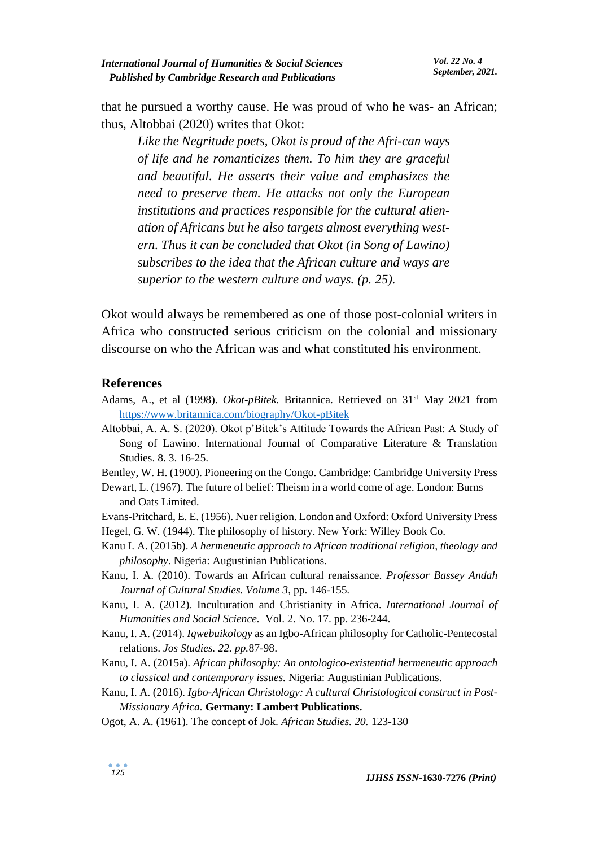that he pursued a worthy cause. He was proud of who he was- an African; thus, Altobbai (2020) writes that Okot:

*Like the Negritude poets, Okot is proud of the Afri-can ways of life and he romanticizes them. To him they are graceful and beautiful. He asserts their value and emphasizes the need to preserve them. He attacks not only the European institutions and practices responsible for the cultural alienation of Africans but he also targets almost everything western. Thus it can be concluded that Okot (in Song of Lawino) subscribes to the idea that the African culture and ways are superior to the western culture and ways. (p. 25).*

Okot would always be remembered as one of those post-colonial writers in Africa who constructed serious criticism on the colonial and missionary discourse on who the African was and what constituted his environment.

#### **References**

- Adams, A., et al (1998). *Okot-pBitek.* Britannica. Retrieved on 31st May 2021 from <https://www.britannica.com/biography/Okot-pBitek>
- Altobbai, A. A. S. (2020). Okot p'Bitek's Attitude Towards the African Past: A Study of Song of Lawino. International Journal of Comparative Literature & Translation Studies. 8. 3. 16-25.

Bentley, W. H. (1900). Pioneering on the Congo. Cambridge: Cambridge University Press

- Dewart, L. (1967). The future of belief: Theism in a world come of age. London: Burns and Oats Limited.
- Evans-Pritchard, E. E. (1956). Nuer religion. London and Oxford: Oxford University Press Hegel, G. W. (1944). The philosophy of history. New York: Willey Book Co.
- Kanu I. A. (2015b). *A hermeneutic approach to African traditional religion, theology and philosophy*. Nigeria: Augustinian Publications.
- Kanu, I. A. (2010). Towards an African cultural renaissance. *Professor Bassey Andah Journal of Cultural Studies. Volume 3*, pp. 146-155*.*
- Kanu, I. A. (2012). Inculturation and Christianity in Africa. *International Journal of Humanities and Social Science.* Vol. 2. No. 17. pp. 236-244.
- Kanu, I. A. (2014). *Igwebuikology* as an Igbo-African philosophy for Catholic-Pentecostal relations. *Jos Studies. 22. pp.*87-98.
- Kanu, I. A. (2015a). *African philosophy: An ontologico-existential hermeneutic approach to classical and contemporary issues.* Nigeria: Augustinian Publications.
- Kanu, I. A. (2016). *Igbo-African Christology: A cultural Christological construct in Post-Missionary Africa.* **Germany: Lambert Publications.**
- Ogot, A. A. (1961). The concept of Jok. *African Studies. 20.* 123-130